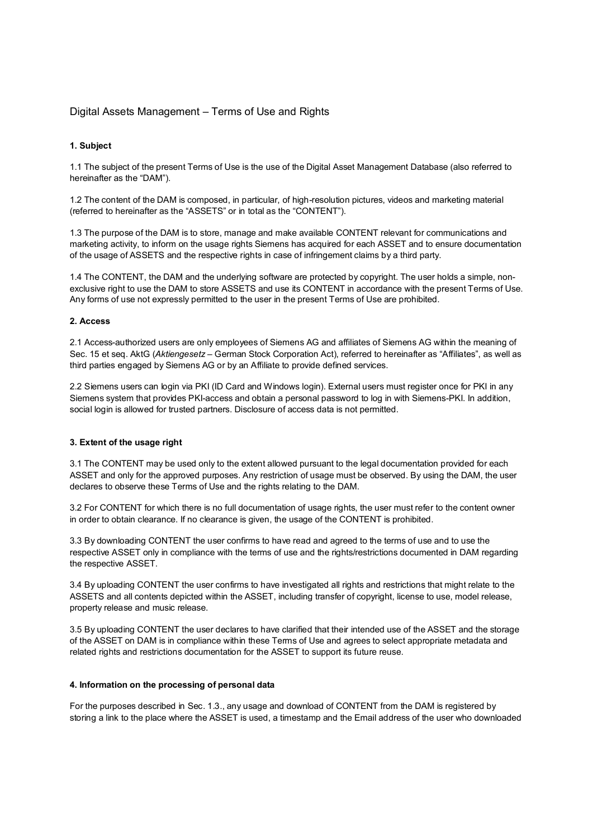# Digital Assets Management – Terms of Use and Rights

## **1. Subject**

1.1 The subject of the present Terms of Use is the use of the Digital Asset Management Database (also referred to hereinafter as the "DAM").

1.2 The content of the DAM is composed, in particular, of high-resolution pictures, videos and marketing material (referred to hereinafter as the "ASSETS" or in total as the "CONTENT").

1.3 The purpose of the DAM is to store, manage and make available CONTENT relevant for communications and marketing activity, to inform on the usage rights Siemens has acquired for each ASSET and to ensure documentation of the usage of ASSETS and the respective rights in case of infringement claims by a third party.

1.4 The CONTENT, the DAM and the underlying software are protected by copyright. The user holds a simple, nonexclusive right to use the DAM to store ASSETS and use its CONTENT in accordance with the present Terms of Use. Any forms of use not expressly permitted to the user in the present Terms of Use are prohibited.

### **2. Access**

2.1 Access-authorized users are only employees of Siemens AG and affiliates of Siemens AG within the meaning of Sec. 15 et seq. AktG (*Aktiengesetz* – German Stock Corporation Act), referred to hereinafter as "Affiliates", as well as third parties engaged by Siemens AG or by an Affiliate to provide defined services.

2.2 Siemens users can login via PKI (ID Card and Windows login). External users must register once for PKI in any Siemens system that provides PKI-access and obtain a personal password to log in with Siemens-PKI. In addition, social login is allowed for trusted partners. Disclosure of access data is not permitted.

### **3. Extent of the usage right**

3.1 The CONTENT may be used only to the extent allowed pursuant to the legal documentation provided for each ASSET and only for the approved purposes. Any restriction of usage must be observed. By using the DAM, the user declares to observe these Terms of Use and the rights relating to the DAM.

3.2 For CONTENT for which there is no full documentation of usage rights, the user must refer to the content owner in order to obtain clearance. If no clearance is given, the usage of the CONTENT is prohibited.

3.3 By downloading CONTENT the user confirms to have read and agreed to the terms of use and to use the respective ASSET only in compliance with the terms of use and the rights/restrictions documented in DAM regarding the respective ASSET.

3.4 By uploading CONTENT the user confirms to have investigated all rights and restrictions that might relate to the ASSETS and all contents depicted within the ASSET, including transfer of copyright, license to use, model release, property release and music release.

3.5 By uploading CONTENT the user declares to have clarified that their intended use of the ASSET and the storage of the ASSET on DAM is in compliance within these Terms of Use and agrees to select appropriate metadata and related rights and restrictions documentation for the ASSET to support its future reuse.

### **4. Information on the processing of personal data**

For the purposes described in Sec. 1.3., any usage and download of CONTENT from the DAM is registered by storing a link to the place where the ASSET is used, a timestamp and the Email address of the user who downloaded